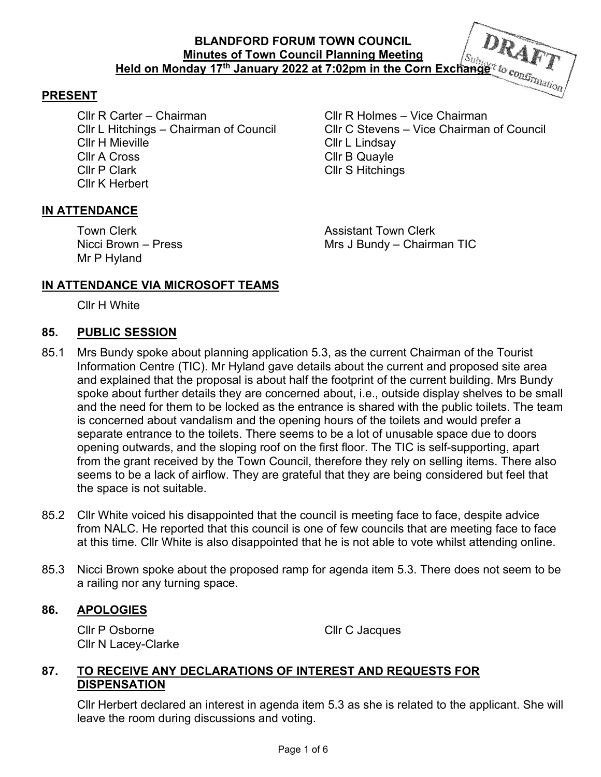#### **PRESENT**

Cllr R Carter – Chairman Cllr R Holmes – Vice Chairman Cllr H Mieville Cllr L Lindsay Cllr A Cross Cllr B Quayle Cllr P Clark Cllr S Hitchings Cllr K Herbert

Cllr L Hitchings – Chairman of Council Cllr C Stevens – Vice Chairman of Council

#### **IN ATTENDANCE**

Mr P Hyland

**Town Clerk Assistant Town Clerk** Nicci Brown – Press Mrs J Bundy – Chairman TIC

### **IN ATTENDANCE VIA MICROSOFT TEAMS**

Cllr H White

#### **85. PUBLIC SESSION**

- 85.1 Mrs Bundy spoke about planning application 5.3, as the current Chairman of the Tourist Information Centre (TIC). Mr Hyland gave details about the current and proposed site area and explained that the proposal is about half the footprint of the current building. Mrs Bundy spoke about further details they are concerned about, i.e., outside display shelves to be small and the need for them to be locked as the entrance is shared with the public toilets. The team is concerned about vandalism and the opening hours of the toilets and would prefer a separate entrance to the toilets. There seems to be a lot of unusable space due to doors opening outwards, and the sloping roof on the first floor. The TIC is self-supporting, apart from the grant received by the Town Council, therefore they rely on selling items. There also seems to be a lack of airflow. They are grateful that they are being considered but feel that the space is not suitable.
- 85.2 Cllr White voiced his disappointed that the council is meeting face to face, despite advice from NALC. He reported that this council is one of few councils that are meeting face to face at this time. Cllr White is also disappointed that he is not able to vote whilst attending online.
- 85.3 Nicci Brown spoke about the proposed ramp for agenda item 5.3. There does not seem to be a railing nor any turning space.

#### **86. APOLOGIES**

Cllr P Osborne Cllr C Jacques Cllr N Lacey-Clarke

## **87. TO RECEIVE ANY DECLARATIONS OF INTEREST AND REQUESTS FOR DISPENSATION**

Cllr Herbert declared an interest in agenda item 5.3 as she is related to the applicant. She will leave the room during discussions and voting.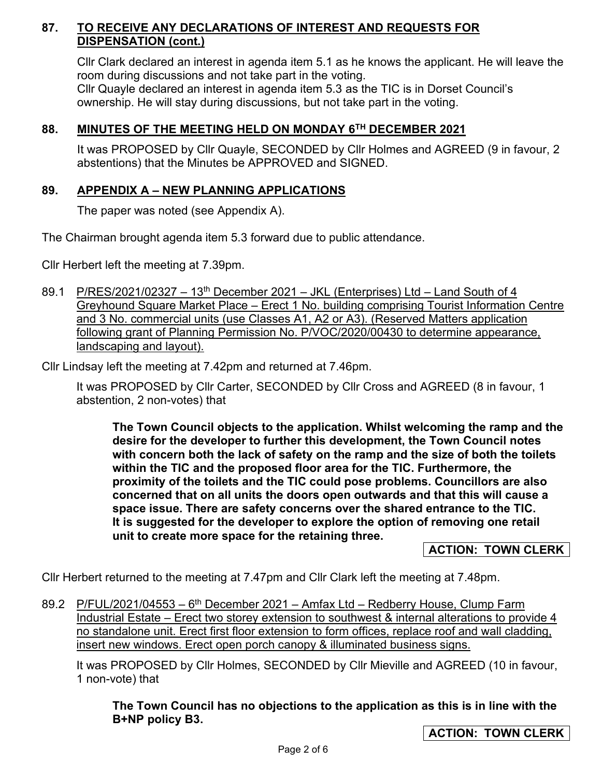# **87. TO RECEIVE ANY DECLARATIONS OF INTEREST AND REQUESTS FOR DISPENSATION (cont.)**

Cllr Clark declared an interest in agenda item 5.1 as he knows the applicant. He will leave the room during discussions and not take part in the voting. Cllr Quayle declared an interest in agenda item 5.3 as the TIC is in Dorset Council's ownership. He will stay during discussions, but not take part in the voting.

# **88. MINUTES OF THE MEETING HELD ON MONDAY 6TH DECEMBER 2021**

It was PROPOSED by Cllr Quayle, SECONDED by Cllr Holmes and AGREED (9 in favour, 2 abstentions) that the Minutes be APPROVED and SIGNED.

## **89. APPENDIX A – NEW PLANNING APPLICATIONS**

The paper was noted (see Appendix A).

The Chairman brought agenda item 5.3 forward due to public attendance.

Cllr Herbert left the meeting at 7.39pm.

89.1 P/RES/2021/02327 - 13<sup>th</sup> December 2021 - JKL (Enterprises) Ltd - Land South of 4 Greyhound Square Market Place – Erect 1 No. building comprising Tourist Information Centre and 3 No. commercial units (use Classes A1, A2 or A3). (Reserved Matters application following grant of Planning Permission No. P/VOC/2020/00430 to determine appearance, landscaping and layout).

Cllr Lindsay left the meeting at 7.42pm and returned at 7.46pm.

It was PROPOSED by Cllr Carter, SECONDED by Cllr Cross and AGREED (8 in favour, 1 abstention, 2 non-votes) that

**The Town Council objects to the application. Whilst welcoming the ramp and the desire for the developer to further this development, the Town Council notes with concern both the lack of safety on the ramp and the size of both the toilets within the TIC and the proposed floor area for the TIC. Furthermore, the proximity of the toilets and the TIC could pose problems. Councillors are also concerned that on all units the doors open outwards and that this will cause a space issue. There are safety concerns over the shared entrance to the TIC. It is suggested for the developer to explore the option of removing one retail unit to create more space for the retaining three.** 

#### **ACTION: TOWN CLERK**

Cllr Herbert returned to the meeting at 7.47pm and Cllr Clark left the meeting at 7.48pm.

89.2 P/FUL/2021/04553 –  $6<sup>th</sup>$  December 2021 – Amfax Ltd – Redberry House, Clump Farm Industrial Estate – Erect two storey extension to southwest & internal alterations to provide 4 no standalone unit. Erect first floor extension to form offices, replace roof and wall cladding, insert new windows. Erect open porch canopy & illuminated business signs.

It was PROPOSED by Cllr Holmes, SECONDED by Cllr Mieville and AGREED (10 in favour, 1 non-vote) that

**The Town Council has no objections to the application as this is in line with the B+NP policy B3.**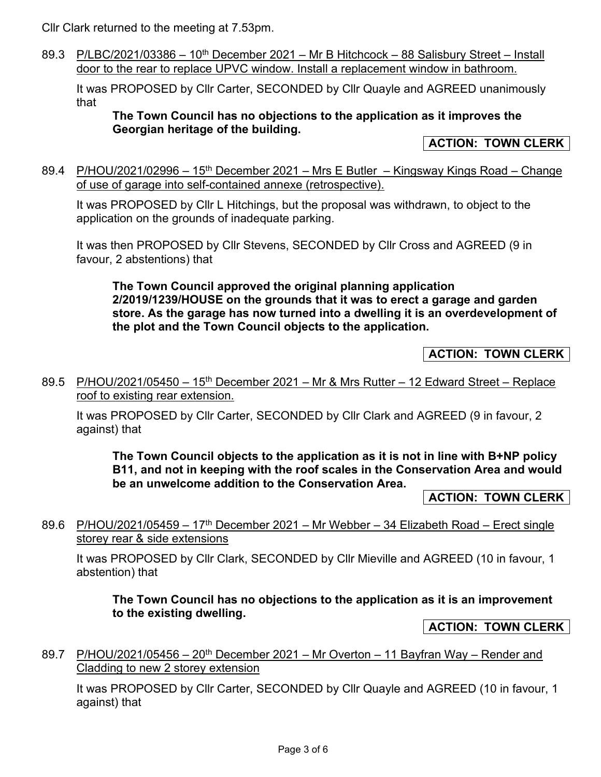Cllr Clark returned to the meeting at 7.53pm.

89.3 P/LBC/2021/03386 – 10<sup>th</sup> December 2021 – Mr B Hitchcock – 88 Salisbury Street – Install door to the rear to replace UPVC window. Install a replacement window in bathroom.

It was PROPOSED by Cllr Carter, SECONDED by Cllr Quayle and AGREED unanimously that

### **The Town Council has no objections to the application as it improves the Georgian heritage of the building.**

**ACTION: TOWN CLERK** 

89.4 P/HOU/2021/02996 – 15<sup>th</sup> December 2021 – Mrs E Butler – Kingsway Kings Road – Change of use of garage into self-contained annexe (retrospective).

It was PROPOSED by Cllr L Hitchings, but the proposal was withdrawn, to object to the application on the grounds of inadequate parking.

It was then PROPOSED by Cllr Stevens, SECONDED by Cllr Cross and AGREED (9 in favour, 2 abstentions) that

**The Town Council approved the original planning application 2/2019/1239/HOUSE on the grounds that it was to erect a garage and garden store. As the garage has now turned into a dwelling it is an overdevelopment of the plot and the Town Council objects to the application.** 

## **ACTION: TOWN CLERK**

89.5 P/HOU/2021/05450 - 15<sup>th</sup> December 2021 - Mr & Mrs Rutter - 12 Edward Street - Replace roof to existing rear extension.

It was PROPOSED by Cllr Carter, SECONDED by Cllr Clark and AGREED (9 in favour, 2 against) that

**The Town Council objects to the application as it is not in line with B+NP policy B11, and not in keeping with the roof scales in the Conservation Area and would be an unwelcome addition to the Conservation Area.** 

**ACTION: TOWN CLERK** 

89.6 P/HOU/2021/05459 – 17<sup>th</sup> December 2021 – Mr Webber – 34 Elizabeth Road – Erect single storey rear & side extensions

It was PROPOSED by Cllr Clark, SECONDED by Cllr Mieville and AGREED (10 in favour, 1 abstention) that

**The Town Council has no objections to the application as it is an improvement to the existing dwelling.** 

**ACTION: TOWN CLERK** 

89.7 P/HOU/2021/05456 – 20<sup>th</sup> December 2021 – Mr Overton – 11 Bayfran Way – Render and Cladding to new 2 storey extension

It was PROPOSED by Cllr Carter, SECONDED by Cllr Quayle and AGREED (10 in favour, 1 against) that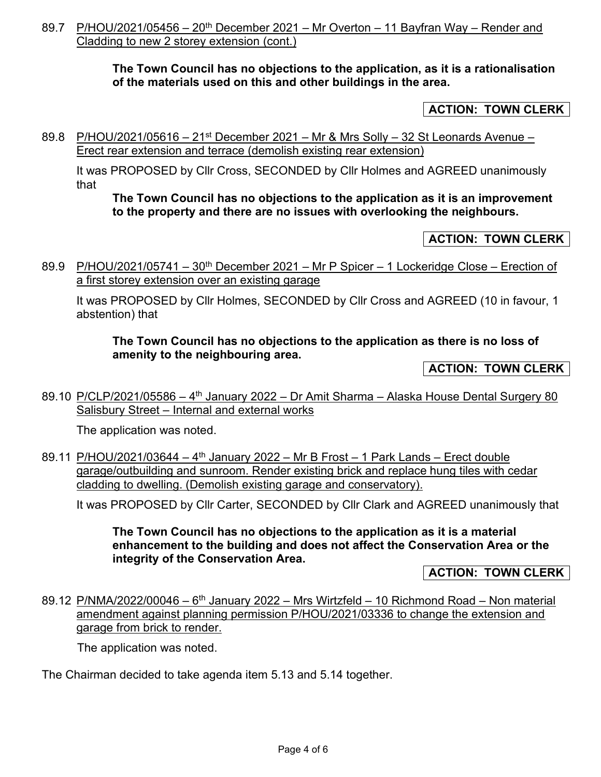89.7 P/HOU/2021/05456 – 20<sup>th</sup> December 2021 – Mr Overton – 11 Bayfran Way – Render and Cladding to new 2 storey extension (cont.)

### **The Town Council has no objections to the application, as it is a rationalisation of the materials used on this and other buildings in the area.**

## **ACTION: TOWN CLERK**

89.8 P/HOU/2021/05616 – 21<sup>st</sup> December 2021 – Mr & Mrs Solly – 32 St Leonards Avenue – Erect rear extension and terrace (demolish existing rear extension)

It was PROPOSED by Cllr Cross, SECONDED by Cllr Holmes and AGREED unanimously that

#### **The Town Council has no objections to the application as it is an improvement to the property and there are no issues with overlooking the neighbours.**

## **ACTION: TOWN CLERK**

89.9 P/HOU/2021/05741 – 30<sup>th</sup> December 2021 – Mr P Spicer – 1 Lockeridge Close – Erection of a first storey extension over an existing garage

It was PROPOSED by Cllr Holmes, SECONDED by Cllr Cross and AGREED (10 in favour, 1 abstention) that

### **The Town Council has no objections to the application as there is no loss of amenity to the neighbouring area.**

**ACTION: TOWN CLERK** 

89.10 P/CLP/2021/05586 –  $4<sup>th</sup>$  January 2022 – Dr Amit Sharma – Alaska House Dental Surgery 80 Salisbury Street – Internal and external works

The application was noted.

89.11 P/HOU/2021/03644 - 4<sup>th</sup> January 2022 - Mr B Frost - 1 Park Lands - Erect double garage/outbuilding and sunroom. Render existing brick and replace hung tiles with cedar cladding to dwelling. (Demolish existing garage and conservatory).

It was PROPOSED by Cllr Carter, SECONDED by Cllr Clark and AGREED unanimously that

**The Town Council has no objections to the application as it is a material enhancement to the building and does not affect the Conservation Area or the integrity of the Conservation Area.** 

**ACTION: TOWN CLERK**

89.12 P/NMA/2022/00046 –  $6<sup>th</sup>$  January 2022 – Mrs Wirtzfeld – 10 Richmond Road – Non material amendment against planning permission P/HOU/2021/03336 to change the extension and garage from brick to render.

The application was noted.

The Chairman decided to take agenda item 5.13 and 5.14 together.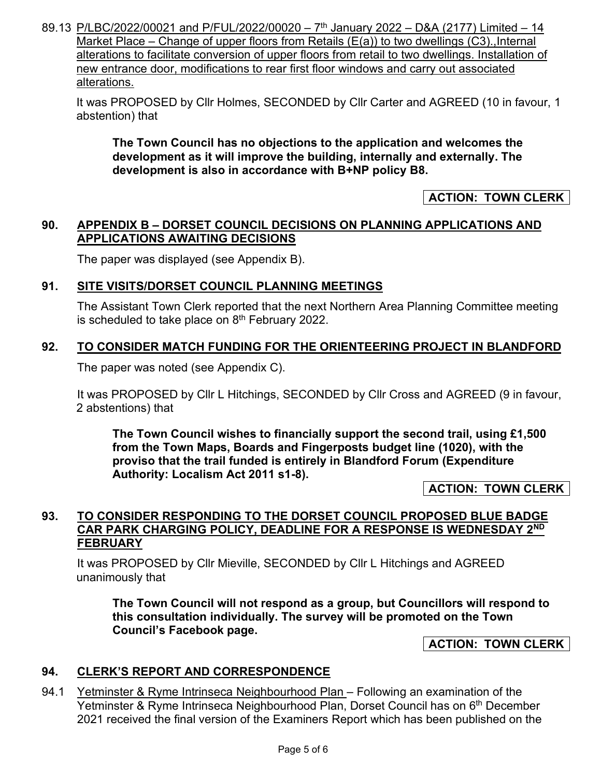89.13 P/LBC/2022/00021 and P/FUL/2022/00020 –  $7<sup>th</sup>$  January 2022 – D&A (2177) Limited – 14 Market Place – Change of upper floors from Retails  $(E(a))$  to two dwellings  $(C3)$ ., Internal alterations to facilitate conversion of upper floors from retail to two dwellings. Installation of new entrance door, modifications to rear first floor windows and carry out associated alterations.

It was PROPOSED by Cllr Holmes, SECONDED by Cllr Carter and AGREED (10 in favour, 1 abstention) that

**The Town Council has no objections to the application and welcomes the development as it will improve the building, internally and externally. The development is also in accordance with B+NP policy B8.** 

## **ACTION: TOWN CLERK**

### **90. APPENDIX B – DORSET COUNCIL DECISIONS ON PLANNING APPLICATIONS AND APPLICATIONS AWAITING DECISIONS**

The paper was displayed (see Appendix B).

## **91. SITE VISITS/DORSET COUNCIL PLANNING MEETINGS**

The Assistant Town Clerk reported that the next Northern Area Planning Committee meeting is scheduled to take place on  $8<sup>th</sup>$  February 2022.

## **92. TO CONSIDER MATCH FUNDING FOR THE ORIENTEERING PROJECT IN BLANDFORD**

The paper was noted (see Appendix C).

It was PROPOSED by Cllr L Hitchings, SECONDED by Cllr Cross and AGREED (9 in favour, 2 abstentions) that

**The Town Council wishes to financially support the second trail, using £1,500 from the Town Maps, Boards and Fingerposts budget line (1020), with the proviso that the trail funded is entirely in Blandford Forum (Expenditure Authority: Localism Act 2011 s1-8).** 

#### **ACTION: TOWN CLERK**

## **93. TO CONSIDER RESPONDING TO THE DORSET COUNCIL PROPOSED BLUE BADGE CAR PARK CHARGING POLICY, DEADLINE FOR A RESPONSE IS WEDNESDAY 2ND FEBRUARY**

It was PROPOSED by Cllr Mieville, SECONDED by Cllr L Hitchings and AGREED unanimously that

**The Town Council will not respond as a group, but Councillors will respond to this consultation individually. The survey will be promoted on the Town Council's Facebook page.** 

**ACTION: TOWN CLERK** 

## **94. CLERK'S REPORT AND CORRESPONDENCE**

94.1 Yetminster & Ryme Intrinseca Neighbourhood Plan – Following an examination of the Yetminster & Ryme Intrinseca Neighbourhood Plan, Dorset Council has on 6<sup>th</sup> December 2021 received the final version of the Examiners Report which has been published on the